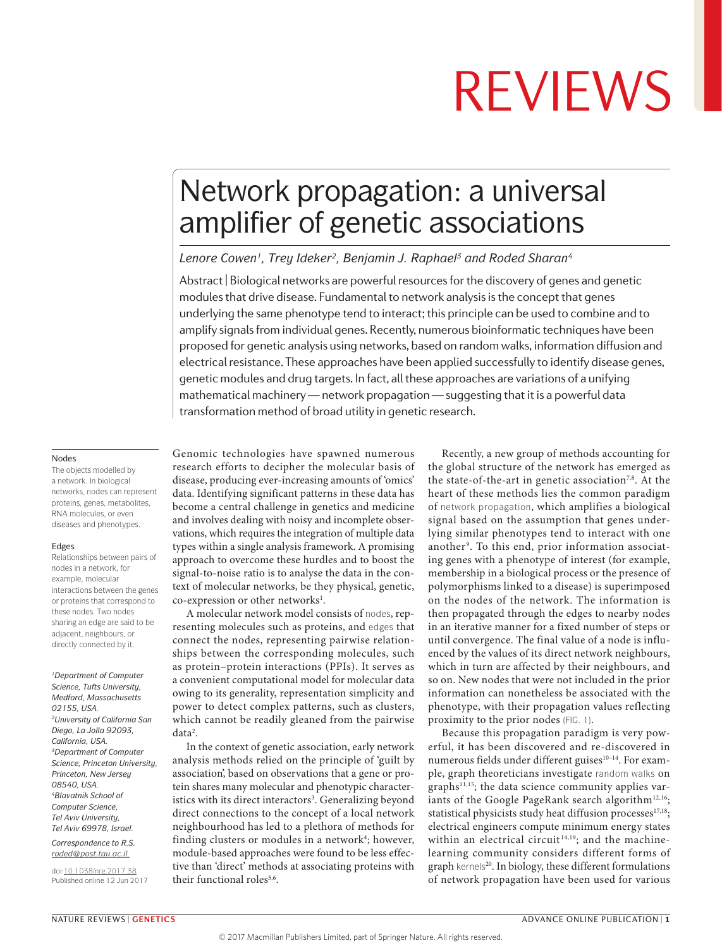# Network propagation: a universal amplifier of genetic associations

# Lenore Cowen<sup>1</sup>, Trey Ideker<sup>2</sup>, Benjamin J. Raphael<sup>3</sup> and Roded Sharan<sup>4</sup>

Abstract | Biological networks are powerful resources for the discovery of genes and genetic modules that drive disease. Fundamental to network analysis is the concept that genes underlying the same phenotype tend to interact; this principle can be used to combine and to amplify signals from individual genes. Recently, numerous bioinformatic techniques have been proposed for genetic analysis using networks, based on random walks, information diffusion and electrical resistance. These approaches have been applied successfully to identify disease genes, genetic modules and drug targets. In fact, all these approaches are variations of a unifying mathematical machinery — network propagation — suggesting that it is a powerful data transformation method of broad utility in genetic research.

# Nodes

The objects modelled by a network. In biological networks, nodes can represent proteins, genes, metabolites, RNA molecules, or even diseases and phenotypes.

# Edges

Relationships between pairs of nodes in a network, for example, molecular interactions between the genes or proteins that correspond to these nodes. Two nodes sharing an edge are said to be adjacent, neighbours, or directly connected by it.

*1Department of Computer Science, Tufts University, Medford, Massachusetts 02155, USA. 2University of California San Diego, La Jolla 92093, California, USA. 3Department of Computer Science, Princeton University, Princeton, New Jersey 08540, USA. 4Blavatnik School of Computer Science, Tel Aviv University, Tel Aviv 69978, Israel.*

*Correspondence to R.S. [roded@post.tau.ac.il.](mailto:roded%40post.tau.ac.il.?subject=)*

doi:[10.1038/nrg.2017.38](http://dx.doi.org/10.1038/nrg.2017.38) Published online 12 Jun 2017 Genomic technologies have spawned numerous research efforts to decipher the molecular basis of disease, producing ever-increasing amounts of 'omics' data. Identifying significant patterns in these data has become a central challenge in genetics and medicine and involves dealing with noisy and incomplete observations, which requires the integration of multiple data types within a single analysis framework. A promising approach to overcome these hurdles and to boost the signal-to-noise ratio is to analyse the data in the context of molecular networks, be they physical, genetic, co-expression or other networks<sup>1</sup>.

A molecular network model consists of nodes, representing molecules such as proteins, and edges that connect the nodes, representing pairwise relationships between the corresponding molecules, such as protein–protein interactions (PPIs). It serves as a convenient computational model for molecular data owing to its generality, representation simplicity and power to detect complex patterns, such as clusters, which cannot be readily gleaned from the pairwise data<sup>2</sup>.

In the context of genetic association, early network analysis methods relied on the principle of 'guilt by association', based on observations that a gene or protein shares many molecular and phenotypic characteristics with its direct interactors<sup>3</sup>. Generalizing beyond direct connections to the concept of a local network neighbourhood has led to a plethora of methods for finding clusters or modules in a network<sup>4</sup>; however, module-based approaches were found to be less effective than 'direct' methods at associating proteins with their functional roles<sup>5,6</sup>.

Recently, a new group of methods accounting for the global structure of the network has emerged as the state-of-the-art in genetic association<sup>7,8</sup>. At the heart of these methods lies the common paradigm of network propagation, which amplifies a biological signal based on the assumption that genes underlying similar phenotypes tend to interact with one another<sup>9</sup>. To this end, prior information associating genes with a phenotype of interest (for example, membership in a biological process or the presence of polymorphisms linked to a disease) is superimposed on the nodes of the network. The information is then propagated through the edges to nearby nodes in an iterative manner for a fixed number of steps or until convergence. The final value of a node is influenced by the values of its direct network neighbours, which in turn are affected by their neighbours, and so on. New nodes that were not included in the prior information can nonetheless be associated with the phenotype, with their propagation values reflecting proximity to the prior nodes (FIG. 1).

Because this propagation paradigm is very powerful, it has been discovered and re-discovered in numerous fields under different guises<sup>10-14</sup>. For example, graph theoreticians investigate random walks on graphs<sup>11,15</sup>; the data science community applies variants of the Google PageRank search algorithm<sup>12,16</sup>; statistical physicists study heat diffusion processes<sup>17,18</sup>; electrical engineers compute minimum energy states within an electrical circuit<sup>14,19</sup>; and the machinelearning community considers different forms of graph kernels<sup>20</sup>. In biology, these different formulations of network propagation have been used for various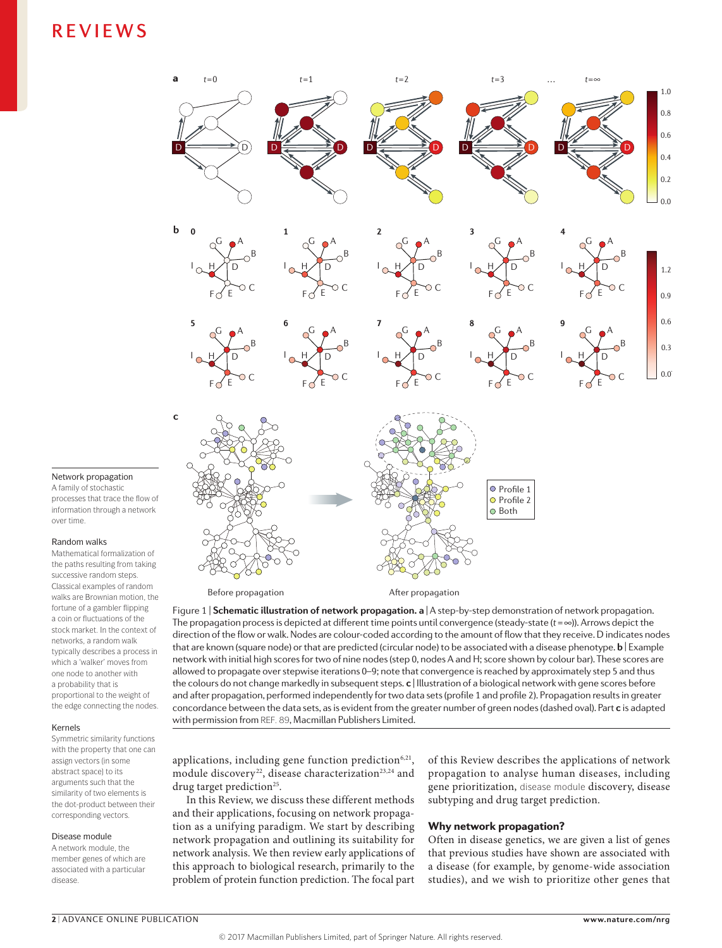

**Nature Reviews** | **Genetics** The propagation process is depicted at different time points until convergence (steady-state (*t*=∞)). Arrows depict the

direction of the flow or walk. Nodes are colour-coded according to the amount of flow that they receive. D indicates nodes that are known (square node) or that are predicted (circular node) to be associated with a disease phenotype. **b** | Example network with initial high scores for two of nine nodes (step 0, nodes A and H; score shown by colour bar). These scores are allowed to propagate over stepwise iterations 0–9; note that convergence is reached by approximately step 5 and thus the colours do not change markedly in subsequent steps. **c** | Illustration of a biological network with gene scores before and after propagation, performed independently for two data sets (profile 1 and profile 2). Propagation results in greater concordance between the data sets, as is evident from the greater number of green nodes (dashed oval). Part **c** is adapted

Figure 1 | **Schematic illustration of network propagation. a** | A step-by-step demonstration of network propagation.

Network propagation A family of stochastic

processes that trace the flow of information through a network over time.

# Random walks

Mathematical formalization of the paths resulting from taking successive random steps. Classical examples of random walks are Brownian motion, the fortune of a gambler flipping a coin or fluctuations of the stock market. In the context of networks, a random walk typically describes a process in which a 'walker' moves from one node to another with a probability that is proportional to the weight of the edge connecting the nodes.

# Kernels

Symmetric similarity functions with the property that one can assign vectors (in some abstract space) to its arguments such that the similarity of two elements is the dot-product between their corresponding vectors.

# Disease module

A network module, the member genes of which are associated with a particular disease.

applications, including gene function prediction<sup>6,21</sup>, module discovery<sup>22</sup>, disease characterization<sup>23,24</sup> and drug target prediction<sup>25</sup>.

with permission from REF. 89, Macmillan Publishers Limited.

Before propagation and a settlement of the After propagation

In this Review, we discuss these different methods and their applications, focusing on network propagation as a unifying paradigm. We start by describing network propagation and outlining its suitability for network analysis. We then review early applications of this approach to biological research, primarily to the problem of protein function prediction. The focal part of this Review describes the applications of network propagation to analyse human diseases, including gene prioritization, disease module discovery, disease subtyping and drug target prediction.

# Why network propagation?

Often in disease genetics, we are given a list of genes that previous studies have shown are associated with a disease (for example, by genome-wide association studies), and we wish to prioritize other genes that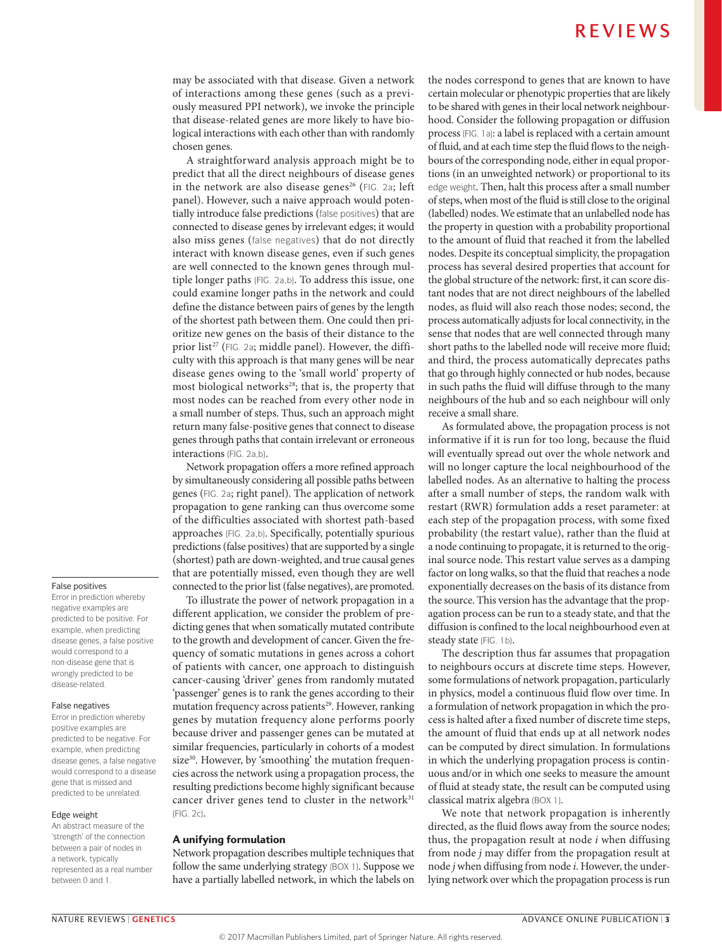may be associated with that disease. Given a network of interactions among these genes (such as a previously measured PPI network), we invoke the principle that disease-related genes are more likely to have biological interactions with each other than with randomly chosen genes.

A straightforward analysis approach might be to predict that all the direct neighbours of disease genes in the network are also disease genes<sup>26</sup> (FIG. 2a; left panel). However, such a naive approach would potentially introduce false predictions (false positives) that are connected to disease genes by irrelevant edges; it would also miss genes (false negatives) that do not directly interact with known disease genes, even if such genes are well connected to the known genes through multiple longer paths (FIG. 2a,b). To address this issue, one could examine longer paths in the network and could define the distance between pairs of genes by the length of the shortest path between them. One could then prioritize new genes on the basis of their distance to the prior list<sup>27</sup> (FIG. 2a; middle panel). However, the difficulty with this approach is that many genes will be near disease genes owing to the 'small world' property of most biological networks<sup>28</sup>; that is, the property that most nodes can be reached from every other node in a small number of steps. Thus, such an approach might return many false-positive genes that connect to disease genes through paths that contain irrelevant or erroneous interactions (FIG. 2a,b).

Network propagation offers a more refined approach by simultaneously considering all possible paths between genes (FIG. 2a; right panel). The application of network propagation to gene ranking can thus overcome some of the difficulties associated with shortest path-based approaches (FIG. 2a,b). Specifically, potentially spurious predictions (false positives) that are supported by a single (shortest) path are down-weighted, and true causal genes that are potentially missed, even though they are well connected to the prior list (false negatives), are promoted.

To illustrate the power of network propagation in a different application, we consider the problem of predicting genes that when somatically mutated contribute to the growth and development of cancer. Given the frequency of somatic mutations in genes across a cohort of patients with cancer, one approach to distinguish cancer-causing 'driver' genes from randomly mutated 'passenger' genes is to rank the genes according to their mutation frequency across patients<sup>29</sup>. However, ranking genes by mutation frequency alone performs poorly because driver and passenger genes can be mutated at similar frequencies, particularly in cohorts of a modest size<sup>30</sup>. However, by 'smoothing' the mutation frequencies across the network using a propagation process, the resulting predictions become highly significant because cancer driver genes tend to cluster in the network<sup>31</sup> (FIG. 2c).

## A unifying formulation

Network propagation describes multiple techniques that follow the same underlying strategy (BOX 1). Suppose we have a partially labelled network, in which the labels on

the nodes correspond to genes that are known to have certain molecular or phenotypic properties that are likely to be shared with genes in their local network neighbourhood. Consider the following propagation or diffusion process (FIG. 1a): a label is replaced with a certain amount of fluid, and at each time step the fluid flows to the neighbours of the corresponding node, either in equal proportions (in an unweighted network) or proportional to its edge weight. Then, halt this process after a small number of steps, when most of the fluid is still close to the original (labelled) nodes. We estimate that an unlabelled node has the property in question with a probability proportional to the amount of fluid that reached it from the labelled nodes. Despite its conceptual simplicity, the propagation process has several desired properties that account for the global structure of the network: first, it can score distant nodes that are not direct neighbours of the labelled nodes, as fluid will also reach those nodes; second, the process automatically adjusts for local connectivity, in the sense that nodes that are well connected through many short paths to the labelled node will receive more fluid; and third, the process automatically deprecates paths that go through highly connected or hub nodes, because in such paths the fluid will diffuse through to the many neighbours of the hub and so each neighbour will only receive a small share.

As formulated above, the propagation process is not informative if it is run for too long, because the fluid will eventually spread out over the whole network and will no longer capture the local neighbourhood of the labelled nodes. As an alternative to halting the process after a small number of steps, the random walk with restart (RWR) formulation adds a reset parameter: at each step of the propagation process, with some fixed probability (the restart value), rather than the fluid at a node continuing to propagate, it is returned to the original source node. This restart value serves as a damping factor on long walks, so that the fluid that reaches a node exponentially decreases on the basis of its distance from the source. This version has the advantage that the propagation process can be run to a steady state, and that the diffusion is confined to the local neighbourhood even at steady state (FIG. 1b).

The description thus far assumes that propagation to neighbours occurs at discrete time steps. However, some formulations of network propagation, particularly in physics, model a continuous fluid flow over time. In a formulation of network propagation in which the process is halted after a fixed number of discrete time steps, the amount of fluid that ends up at all network nodes can be computed by direct simulation. In formulations in which the underlying propagation process is continuous and/or in which one seeks to measure the amount of fluid at steady state, the result can be computed using classical matrix algebra (BOX 1).

We note that network propagation is inherently directed, as the fluid flows away from the source nodes; thus, the propagation result at node *i* when diffusing from node *j* may differ from the propagation result at node *j* when diffusing from node *i*. However, the underlying network over which the propagation process is run

# False positives Error in prediction whereby

negative examples are predicted to be positive. For example, when predicting disease genes, a false positive would correspond to a non-disease gene that is wrongly predicted to be disease-related.

## False negatives

Error in prediction whereby positive examples are predicted to be negative. For example, when predicting disease genes, a false negative would correspond to a disease gene that is missed and predicted to be unrelated.

#### Edge weight

An abstract measure of the 'strength' of the connection between a pair of nodes in a network, typically represented as a real number between 0 and 1.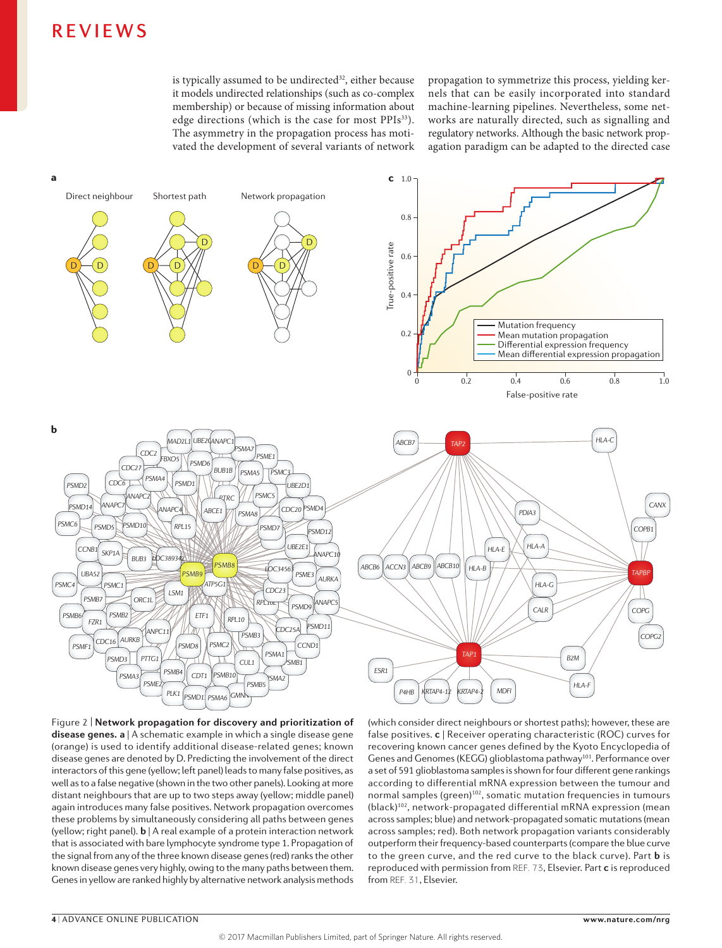is typically assumed to be undirected<sup>32</sup>, either because it models undirected relationships (such as co-complex membership) or because of missing information about edge directions (which is the case for most PPIs<sup>33</sup>). The asymmetry in the propagation process has motivated the development of several variants of network

propagation to symmetrize this process, yielding kernels that can be easily incorporated into standard machine-learning pipelines. Nevertheless, some networks are naturally directed, such as signalling and regulatory networks. Although the basic network propagation paradigm can be adapted to the directed case





false positives. **c** | Receiver operating characteristic (ROC) curves for (which consider direct neighbours or shortest paths); however, these are recovering known cancer genes defined by the Kyoto Encyclopedia of Genes and Genomes (KEGG) glioblastoma pathway<sup>101</sup>. Performance over a set of 591 glioblastoma samples is shown for four different gene rankings according to differential mRNA expression between the tumour and normal samples (green)<sup>102</sup>, somatic mutation frequencies in tumours (black)102, network-propagated differential mRNA expression (mean across samples; blue) and network-propagated somatic mutations (mean across samples; red). Both network propagation variants considerably outperform their frequency-based counterparts (compare the blue curve to the green curve, and the red curve to the black curve). Part **b** is reproduced with permission from REF. 73, Elsevier. Part **c** is reproduced from REF. 31, Elsevier.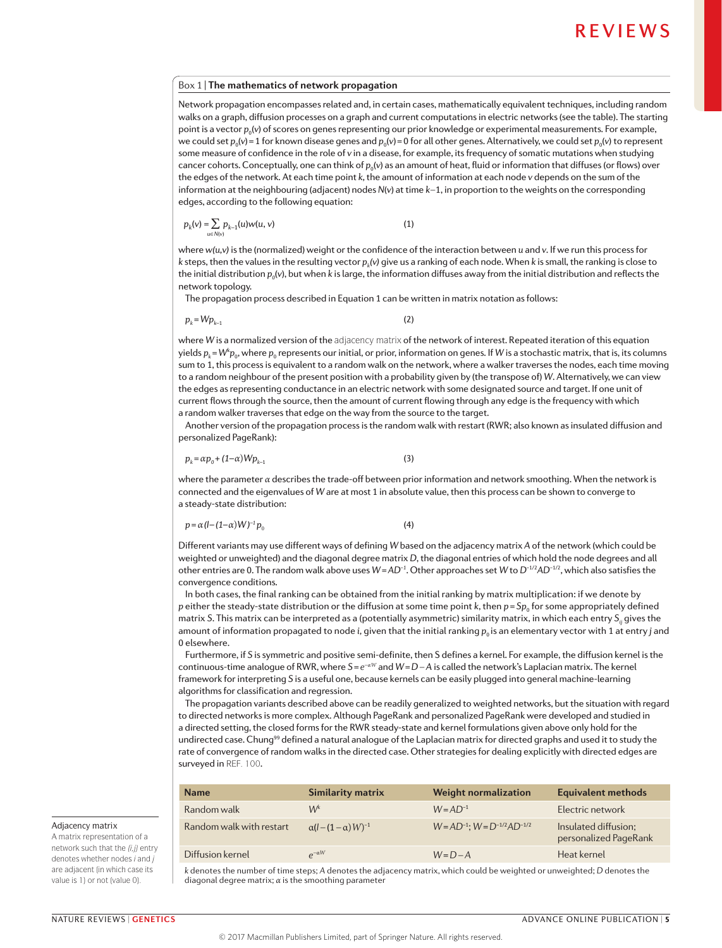# Box 1 | **The mathematics of network propagation**

Network propagation encompasses related and, in certain cases, mathematically equivalent techniques, including random walks on a graph, diffusion processes on a graph and current computations in electric networks (see the table). The starting point is a vector  $p_o(v)$  of scores on genes representing our prior knowledge or experimental measurements. For example, we could set  $p_0(v)$  = 1 for known disease genes and  $p_0(v)$  = 0 for all other genes. Alternatively, we could set  $p_0(v)$  to represent some measure of confidence in the role of *v* in a disease, for example, its frequency of somatic mutations when studying cancer cohorts. Conceptually, one can think of  $p_0(v)$  as an amount of heat, fluid or information that diffuses (or flows) over the edges of the network. At each time point *k,* the amount of information at each node *v* depends on the sum of the information at the neighbouring (adjacent) nodes *N*(*v*) at time *k*−1, in proportion to the weights on the corresponding edges, according to the following equation:

$$
p_k(v) = \sum_{u \in N(v)} p_{k-1}(u) w(u, v)
$$
 (1)

where *w(u,v)* is the (normalized) weight or the confidence of the interaction between *u* and *v*. If we run this process for *k* steps, then the values in the resulting vector *pk(v)* give us a ranking of each node. When *k* is small, the ranking is close to the initial distribution  $p_0(v)$ , but when k is large, the information diffuses away from the initial distribution and reflects the network topology.

The propagation process described in Equation 1 can be written in matrix notation as follows:

$$
p_k = W p_{k-1} \tag{2}
$$

where *W* is a normalized version of the adjacency matrix of the network of interest. Repeated iteration of this equation yields  $p_k$ =W<sup>k</sup> $p_o$ , where  $p_o$  represents our initial, or prior, information on genes. If W is a stochastic matrix, that is, its columns sum to 1, this process is equivalent to a random walk on the network, where a walker traverses the nodes, each time moving to a random neighbour of the present position with a probability given by (the transpose of) *W*. Alternatively, we can view the edges as representing conductance in an electric network with some designated source and target. If one unit of current flows through the source, then the amount of current flowing through any edge is the frequency with which a random walker traverses that edge on the way from the source to the target.

Another version of the propagation process is the random walk with restart (RWR; also known as insulated diffusion and personalized PageRank):

$$
p_k = \alpha p_0 + (1 - \alpha) W p_{k-1} \tag{3}
$$

where the parameter *α* describes the trade-off between prior information and network smoothing. When the network is connected and the eigenvalues of *W* are at most 1 in absolute value, then this process can be shown to converge to a steady-state distribution:

$$
p = \alpha \left( - (1 - \alpha) W \right)^{-1} p_0 \tag{4}
$$

Different variants may use different ways of defining *W* based on the adjacency matrix *A* of the network (which could be weighted or unweighted) and the diagonal degree matrix *D*, the diagonal entries of which hold the node degrees and all other entries are 0. The random walk above uses *W*=*AD−1*. Other approaches set *W* to *D*−1/2*AD*−1/2*,* which also satisfies the convergence conditions.

In both cases, the final ranking can be obtained from the initial ranking by matrix multiplication: if we denote by *p* either the steady-state distribution or the diffusion at some time point *k*, then  $p = Sp_0$  for some appropriately defined matrix *S*. This matrix can be interpreted as a (potentially asymmetric) similarity matrix, in which each entry *Sij* gives the amount of information propagated to node *i*, given that the initial ranking  $p_0$  is an elementary vector with 1 at entry *j* and 0 elsewhere.

Furthermore, if *S* is symmetric and positive semi-definite, then S defines a kernel. For example, the diffusion kernel is the continuous-time analogue of RWR, where *S*=*e−αW* and *W=D*−*A* is called the network's Laplacian matrix. The kernel framework for interpreting *S* is a useful one, because kernels can be easily plugged into general machine-learning algorithms for classification and regression.

The propagation variants described above can be readily generalized to weighted networks, but the situation with regard to directed networks is more complex. Although PageRank and personalized PageRank were developed and studied in a directed setting, the closed forms for the RWR steady-state and kernel formulations given above only hold for the undirected case. Chung<sup>99</sup> defined a natural analogue of the Laplacian matrix for directed graphs and used it to study the rate of convergence of random walks in the directed case. Other strategies for dealing explicitly with directed edges are surveyed in REF. 100.

| <b>Name</b>              | <b>Similarity matrix</b>     | <b>Weight normalization</b>             | <b>Equivalent methods</b>                     |
|--------------------------|------------------------------|-----------------------------------------|-----------------------------------------------|
| Random walk              | $W^k$                        | $W = AD^{-1}$                           | Electric network                              |
| Random walk with restart | $\alpha(l-(1-\alpha)W)^{-1}$ | $W = AD^{-1}$ : $W = D^{-1/2}AD^{-1/2}$ | Insulated diffusion;<br>personalized PageRank |
| Diffusion kernel         | $e^{-\alpha W}$              | $W = D - A$                             | Heat kernel                                   |

*k* denotes the number of time steps; *A* denotes the adjacency matrix, which could be weighted or unweighted; *D* denotesthe diagonal degree matrix; *α* is the smoothing parameter

## Adjacency matrix

A matrix representation of a network such that the *(i,j)* entry denotes whether nodes *i* and *j*  are adjacent (in which case its value is 1) or not (value 0).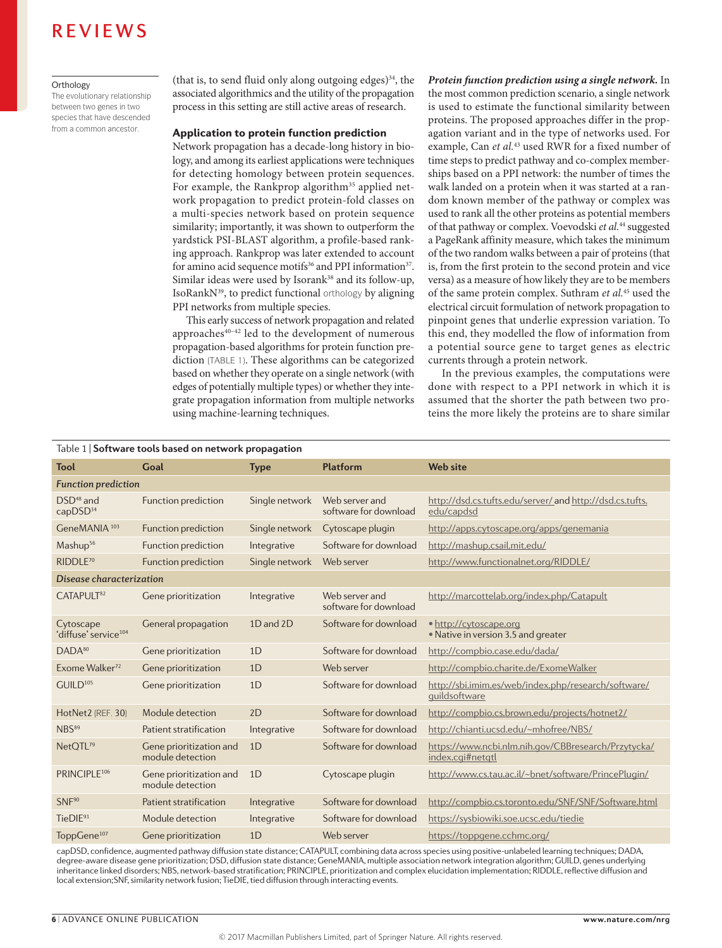## Orthology

The evolutionary relationship between two genes in two species that have descended from a common ancestor.

(that is, to send fluid only along outgoing edges) $34$ , the associated algorithmics and the utility of the propagation process in this setting are still active areas of research.

# Application to protein function prediction

Network propagation has a decade-long history in biology, and among its earliest applications were techniques for detecting homology between protein sequences. For example, the Rankprop algorithm<sup>35</sup> applied network propagation to predict protein-fold classes on a multi-species network based on protein sequence similarity; importantly, it was shown to outperform the yardstick PSI-BLAST algorithm, a profile-based ranking approach. Rankprop was later extended to account for amino acid sequence motifs<sup>36</sup> and PPI information<sup>37</sup>. Similar ideas were used by Isorank<sup>38</sup> and its follow-up, IsoRankN39, to predict functional orthology by aligning PPI networks from multiple species.

This early success of network propagation and related approaches<sup>40-42</sup> led to the development of numerous propagation-based algorithms for protein function prediction (TABLE 1). These algorithms can be categorized based on whether they operate on a single network (with edges of potentially multiple types) or whether they integrate propagation information from multiple networks using machine-learning techniques.

# *Protein function prediction using a single network.* In the most common prediction scenario, a single network is used to estimate the functional similarity between proteins. The proposed approaches differ in the propagation variant and in the type of networks used. For example, Can *et al.*43 used RWR for a fixed number of time steps to predict pathway and co-complex memberships based on a PPI network: the number of times the walk landed on a protein when it was started at a random known member of the pathway or complex was used to rank all the other proteins as potential members of that pathway or complex. Voevodski *et al.*44 suggested a PageRank affinity measure, which takes the minimum of the two random walks between a pair of proteins (that is, from the first protein to the second protein and vice versa) as a measure of how likely they are to be members of the same protein complex. Suthram *et al.*45 used the electrical circuit formulation of network propagation to pinpoint genes that underlie expression variation. To this end, they modelled the flow of information from

currents through a protein network. In the previous examples, the computations were done with respect to a PPI network in which it is assumed that the shorter the path between two proteins the more likely the proteins are to share similar

a potential source gene to target genes as electric

| Table 1 Software tools based on network propagation |                                             |                |                                         |                                                                         |  |  |
|-----------------------------------------------------|---------------------------------------------|----------------|-----------------------------------------|-------------------------------------------------------------------------|--|--|
| Tool                                                | Goal                                        | <b>Type</b>    | <b>Platform</b>                         | <b>Web site</b>                                                         |  |  |
| <b>Function prediction</b>                          |                                             |                |                                         |                                                                         |  |  |
| $DSD48$ and<br>capDSD <sup>34</sup>                 | Function prediction                         | Single network | Web server and<br>software for download | http://dsd.cs.tufts.edu/server/ and http://dsd.cs.tufts.<br>edu/capdsd  |  |  |
| GeneMANIA <sup>103</sup>                            | Function prediction                         | Single network | Cytoscape plugin                        | http://apps.cytoscape.org/apps/genemania                                |  |  |
| Mashup <sup>56</sup>                                | Function prediction                         | Integrative    | Software for download                   | http://mashup.csail.mit.edu/                                            |  |  |
| RIDDLE <sup>70</sup>                                | Function prediction                         | Single network | Web server                              | http://www.functionalnet.org/RIDDLE/                                    |  |  |
| Disease characterization                            |                                             |                |                                         |                                                                         |  |  |
| CATAPULT <sup>82</sup>                              | Gene prioritization                         | Integrative    | Web server and<br>software for download | http://marcottelab.org/index.php/Catapult                               |  |  |
| Cytoscape<br>'diffuse' service <sup>104</sup>       | General propagation                         | 1D and 2D      | Software for download                   | • http://cytoscape.org<br>• Native in version 3.5 and greater           |  |  |
| DADA <sup>80</sup>                                  | Gene prioritization                         | 1D             | Software for download                   | http://compbio.case.edu/dada/                                           |  |  |
| Exome Walker <sup>72</sup>                          | Gene prioritization                         | 1D             | Web server                              | http://compbio.charite.de/ExomeWalker                                   |  |  |
| GUILD <sup>105</sup>                                | Gene prioritization                         | 1D             | Software for download                   | http://sbi.imim.es/web/index.php/research/software/<br>guildsoftware    |  |  |
| HotNet2 (REF. 30)                                   | Module detection                            | 2D             | Software for download                   | http://compbio.cs.brown.edu/projects/hotnet2/                           |  |  |
| NBS <sup>89</sup>                                   | Patient stratification                      | Integrative    | Software for download                   | http://chianti.ucsd.edu/~mhofree/NBS/                                   |  |  |
| NetOTL <sup>79</sup>                                | Gene prioritization and<br>module detection | 1D             | Software for download                   | https://www.ncbi.nlm.nih.gov/CBBresearch/Przytycka/<br>index.cgi#netgtl |  |  |
| PRINCIPLE <sup>106</sup>                            | Gene prioritization and<br>module detection | 1D             | Cytoscape plugin                        | http://www.cs.tau.ac.il/~bnet/software/PrincePlugin/                    |  |  |
| SNF <sup>90</sup>                                   | Patient stratification                      | Integrative    | Software for download                   | http://compbio.cs.toronto.edu/SNF/SNF/Software.html                     |  |  |
| TieDIE <sup>91</sup>                                | Module detection                            | Integrative    | Software for download                   | https://sysbiowiki.soe.ucsc.edu/tiedie                                  |  |  |
| ToppGene <sup>107</sup>                             | Gene prioritization                         | 1D             | Web server                              | https://toppgene.cchmc.org/                                             |  |  |

capDSD, confidence, augmented pathway diffusion state distance; CATAPULT, combining data across species using positive-unlabeled learning techniques; DADA, degree-aware disease gene prioritization; DSD, diffusion state distance; GeneMANIA, multiple association network integration algorithm; GUILD, genes underlying inheritance linked disorders; NBS, network-based stratification; PRINCIPLE, prioritization and complex elucidation implementation; RIDDLE, reflective diffusion and local extension;SNF, similarity network fusion; TieDIE, tied diffusion through interacting events.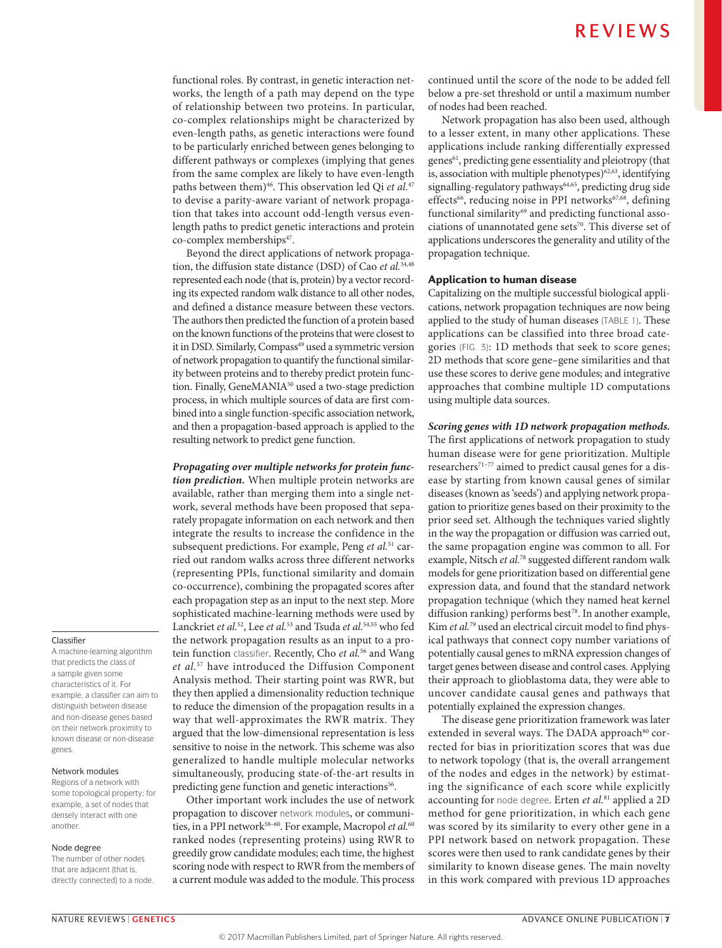functional roles. By contrast, in genetic interaction networks, the length of a path may depend on the type of relationship between two proteins. In particular, co-complex relationships might be characterized by even-length paths, as genetic interactions were found to be particularly enriched between genes belonging to different pathways or complexes (implying that genes from the same complex are likely to have even-length paths between them)<sup>46</sup>. This observation led Qi et al.<sup>47</sup> to devise a parity-aware variant of network propagation that takes into account odd-length versus evenlength paths to predict genetic interactions and protein co-complex memberships<sup>47</sup>.

Beyond the direct applications of network propagation, the diffusion state distance (DSD) of Cao *et al.*34,48 represented each node (that is, protein) by a vector recording its expected random walk distance to all other nodes, and defined a distance measure between these vectors. The authors then predicted the function of a protein based on the known functions of the proteins that were closest to it in DSD. Similarly, Compass<sup>49</sup> used a symmetric version of network propagation to quantify the functional similarity between proteins and to thereby predict protein function. Finally, GeneMANIA<sup>50</sup> used a two-stage prediction process, in which multiple sources of data are first combined into a single function-specific association network, and then a propagation-based approach is applied to the resulting network to predict gene function.

# *Propagating over multiple networks for protein function prediction.* When multiple protein networks are

available, rather than merging them into a single network, several methods have been proposed that separately propagate information on each network and then integrate the results to increase the confidence in the subsequent predictions. For example, Peng *et al.*51 carried out random walks across three different networks (representing PPIs, functional similarity and domain co-occurrence), combining the propagated scores after each propagation step as an input to the next step. More sophisticated machine-learning methods were used by Lanckriet *et al.*52, Lee *et al.*53 and Tsuda *et al.*54,55 who fed the network propagation results as an input to a protein function classifier. Recently, Cho *et al.*56 and Wang *et al.*57 have introduced the Diffusion Component Analysis method. Their starting point was RWR, but they then applied a dimensionality reduction technique to reduce the dimension of the propagation results in a way that well-approximates the RWR matrix. They argued that the low-dimensional representation is less sensitive to noise in the network. This scheme was also generalized to handle multiple molecular networks simultaneously, producing state-of-the-art results in predicting gene function and genetic interactions<sup>56</sup>.

Other important work includes the use of network propagation to discover network modules, or communities, in a PPI network<sup>58–60</sup>. For example, Macropol *et al.*<sup>60</sup> ranked nodes (representing proteins) using RWR to greedily grow candidate modules; each time, the highest scoring node with respect to RWR from the members of a current module was added to the module. This process continued until the score of the node to be added fell below a pre-set threshold or until a maximum number of nodes had been reached.

Network propagation has also been used, although to a lesser extent, in many other applications. These applications include ranking differentially expressed genes<sup>61</sup>, predicting gene essentiality and pleiotropy (that is, association with multiple phenotypes) $62,63$ , identifying signalling-regulatory pathways<sup>64,65</sup>, predicting drug side effects<sup>66</sup>, reducing noise in PPI networks<sup>67,68</sup>, defining functional similarity<sup>69</sup> and predicting functional associations of unannotated gene sets<sup>70</sup>. This diverse set of applications underscores the generality and utility of the propagation technique.

# Application to human disease

Capitalizing on the multiple successful biological applications, network propagation techniques are now being applied to the study of human diseases (TABLE 1). These applications can be classified into three broad categories (FIG. 3): 1D methods that seek to score genes; 2D methods that score gene–gene similarities and that use these scores to derive gene modules; and integrative approaches that combine multiple 1D computations using multiple data sources.

# *Scoring genes with 1D network propagation methods.*

The first applications of network propagation to study human disease were for gene prioritization. Multiple researchers<sup>71-77</sup> aimed to predict causal genes for a disease by starting from known causal genes of similar diseases (known as 'seeds') and applying network propagation to prioritize genes based on their proximity to the prior seed set. Although the techniques varied slightly in the way the propagation or diffusion was carried out, the same propagation engine was common to all. For example, Nitsch *et al.*78 suggested different random walk models for gene prioritization based on differential gene expression data, and found that the standard network propagation technique (which they named heat kernel diffusion ranking) performs best<sup>78</sup>. In another example, Kim *et al.*<sup>79</sup> used an electrical circuit model to find physical pathways that connect copy number variations of potentially causal genes to mRNA expression changes of target genes between disease and control cases. Applying their approach to glioblastoma data, they were able to uncover candidate causal genes and pathways that potentially explained the expression changes.

The disease gene prioritization framework was later extended in several ways. The DADA approach<sup>80</sup> corrected for bias in prioritization scores that was due to network topology (that is, the overall arrangement of the nodes and edges in the network) by estimating the significance of each score while explicitly accounting for node degree. Erten *et al.*81 applied a 2D method for gene prioritization, in which each gene was scored by its similarity to every other gene in a PPI network based on network propagation. These scores were then used to rank candidate genes by their similarity to known disease genes. The main novelty in this work compared with previous 1D approaches

# Classifier

A machine-learning algorithm that predicts the class of a sample given some characteristics of it. For example, a classifier can aim to distinguish between disease and non-disease genes based on their network proximity to known disease or non-disease genes.

# Network modules

Regions of a network with some topological property; for example, a set of nodes that densely interact with one another.

## Node degree

The number of other nodes that are adjacent (that is, directly connected) to a node.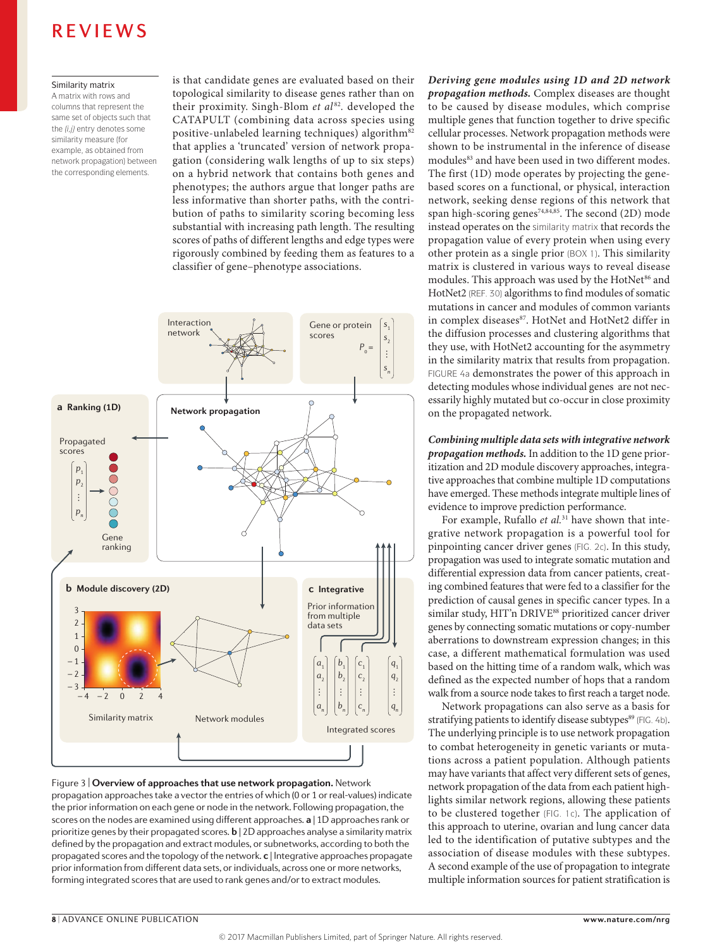# Similarity matrix

A matrix with rows and columns that represent the same set of objects such that the *(i,j)* entry denotes some similarity measure (for example, as obtained from network propagation) between the corresponding elements.

is that candidate genes are evaluated based on their topological similarity to disease genes rather than on their proximity. Singh-Blom *et al*<sup>82</sup>, developed the CATAPULT (combining data across species using positive-unlabeled learning techniques) algorithm<sup>82</sup> that applies a 'truncated' version of network propagation (considering walk lengths of up to six steps) on a hybrid network that contains both genes and phenotypes; the authors argue that longer paths are less informative than shorter paths, with the contribution of paths to similarity scoring becoming less substantial with increasing path length. The resulting scores of paths of different lengths and edge types were rigorously combined by feeding them as features to a classifier of gene–phenotype associations.



# **Figure 3 | Overview of approaches that use network propagation.** Network propagation approaches take a vector the entries of which (0 or 1 or real-values) indicate the prior information on each gene or node in the network. Following propagation, the scores on the nodes are examined using different approaches. **a** | 1D approaches rank or prioritize genes by their propagated scores. **b** | 2D approaches analyse a similarity matrix defined by the propagation and extract modules, or subnetworks, according to both the propagated scores and the topology of the network. **c** | Integrative approaches propagate prior information from different data sets, or individuals, across one or more networks, forming integrated scores that are used to rank genes and/or to extract modules.

*Deriving gene modules using 1D and 2D network propagation methods.* Complex diseases are thought to be caused by disease modules, which comprise multiple genes that function together to drive specific cellular processes. Network propagation methods were shown to be instrumental in the inference of disease modules<sup>83</sup> and have been used in two different modes. The first (1D) mode operates by projecting the genebased scores on a functional, or physical, interaction network, seeking dense regions of this network that span high-scoring genes<sup>74,84,85</sup>. The second (2D) mode instead operates on the similarity matrix that records the propagation value of every protein when using every other protein as a single prior (BOX 1). This similarity matrix is clustered in various ways to reveal disease modules. This approach was used by the HotNet<sup>86</sup> and HotNet2 (REF. 30) algorithms to find modules of somatic mutations in cancer and modules of common variants in complex diseases<sup>87</sup>. HotNet and HotNet2 differ in the diffusion processes and clustering algorithms that they use, with HotNet2 accounting for the asymmetry in the similarity matrix that results from propagation. FIGURE 4a demonstrates the power of this approach in detecting modules whose individual genes are not necessarily highly mutated but co-occur in close proximity on the propagated network.

*Combining multiple data sets with integrative network propagation methods.* In addition to the 1D gene prioritization and 2D module discovery approaches, integrative approaches that combine multiple 1D computations have emerged. These methods integrate multiple lines of evidence to improve prediction performance.

For example, Rufallo *et al.*<sup>31</sup> have shown that integrative network propagation is a powerful tool for pinpointing cancer driver genes (FIG. 2c). In this study, propagation was used to integrate somatic mutation and differential expression data from cancer patients, creating combined features that were fed to a classifier for the prediction of causal genes in specific cancer types. In a similar study, HIT'n DRIVE<sup>88</sup> prioritized cancer driver genes by connecting somatic mutations or copy-number aberrations to downstream expression changes; in this case, a different mathematical formulation was used based on the hitting time of a random walk, which was defined as the expected number of hops that a random walk from a source node takes to first reach a target node.

Network propagations can also serve as a basis for stratifying patients to identify disease subtypes<sup>89</sup> (FIG. 4b). The underlying principle is to use network propagation to combat heterogeneity in genetic variants or mutations across a patient population. Although patients may have variants that affect very different sets of genes, network propagation of the data from each patient highlights similar network regions, allowing these patients to be clustered together (FIG. 1c). The application of this approach to uterine, ovarian and lung cancer data led to the identification of putative subtypes and the association of disease modules with these subtypes. A second example of the use of propagation to integrate multiple information sources for patient stratification is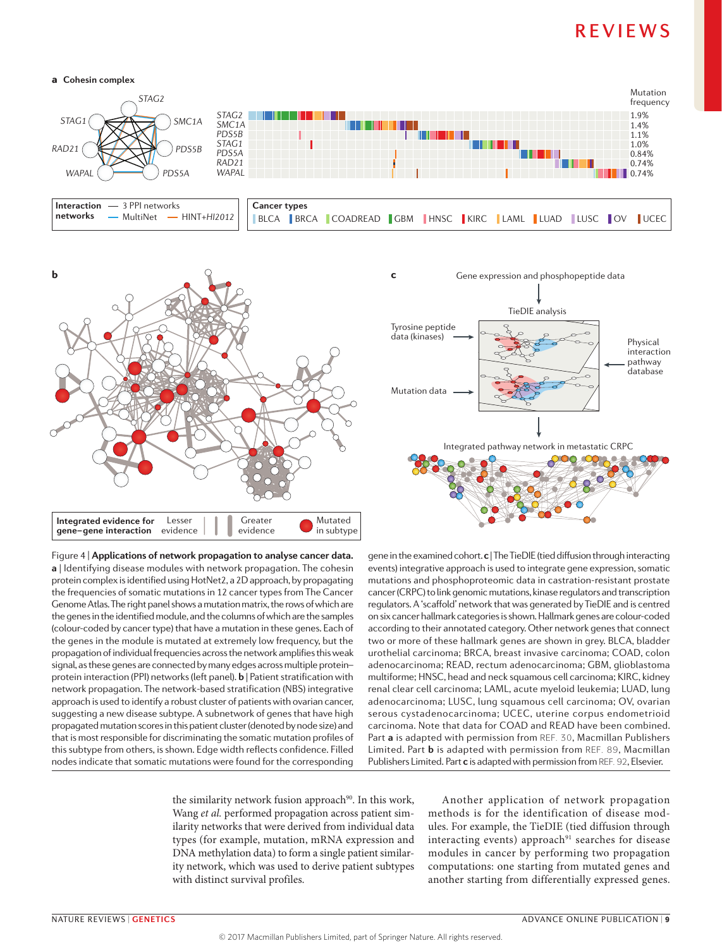Physical interaction pathway database



Mutation data

Tyrosine peptide data (kinases)



Figure 4 | **Applications of network propagation to analyse cancer data. a** | Identifying disease modules with network propagation. The cohesin protein complex is identified using HotNet2, a 2D approach, by propagating the frequencies of somatic mutations in 12 cancer types from The Cancer Genome Atlas. The right panel shows a mutation matrix, the rows of which are the genes in the identified module, and the columns of which are the samples (colour-coded by cancer type) that have a mutation in these genes. Each of the genes in the module is mutated at extremely low frequency, but the propagation of individual frequencies across the network amplifies this weak signal, as these genes are connected by many edges across multiple protein– protein interaction (PPI) networks (left panel). **b** | Patient stratification with network propagation. The network-based stratification (NBS) integrative approach is used to identify a robust cluster of patients with ovarian cancer, suggesting a new disease subtype. A subnetwork of genes that have high propagated mutation scores in this patient cluster (denoted by node size) and that is most responsible for discriminating the somatic mutation profiles of this subtype from others, is shown. Edge width reflects confidence. Filled nodes indicate that somatic mutations were found for the corresponding

**Nature Reviews** | **Genetics** gene in the examined cohort. **c** | The TieDIE (tied diffusion through interacting events) integrative approach is used to integrate gene expression, somatic mutations and phosphoproteomic data in castration-resistant prostate cancer (CRPC) to link genomic mutations, kinase regulators and transcription regulators. A 'scaffold' network that was generated by TieDIE and is centred on six cancer hallmark categories is shown. Hallmark genes are colour-coded according to their annotated category. Other network genes that connect two or more of these hallmark genes are shown in grey. BLCA, bladder urothelial carcinoma; BRCA, breast invasive carcinoma; COAD, colon adenocarcinoma; READ, rectum adenocarcinoma; GBM, glioblastoma multiforme; HNSC, head and neck squamous cell carcinoma; KIRC, kidney renal clear cell carcinoma; LAML, acute myeloid leukemia; LUAD, lung adenocarcinoma; LUSC, lung squamous cell carcinoma; OV, ovarian serous cystadenocarcinoma; UCEC, uterine corpus endometrioid carcinoma. Note that data for COAD and READ have been combined. Part **a** is adapted with permission from REF. 30, Macmillan Publishers Limited. Part **b** is adapted with permission from REF. 89, Macmillan Publishers Limited. Part **c** is adapted with permission from REF. 92, Elsevier.

TieDIE analysis

Integrated pathway network in metastatic CRPC

the similarity network fusion approach<sup>90</sup>. In this work, Wang *et al.* performed propagation across patient similarity networks that were derived from individual data types (for example, mutation, mRNA expression and DNA methylation data) to form a single patient similarity network, which was used to derive patient subtypes with distinct survival profiles.

Another application of network propagation methods is for the identification of disease modules. For example, the TieDIE (tied diffusion through interacting events) approach<sup>91</sup> searches for disease modules in cancer by performing two propagation computations: one starting from mutated genes and another starting from differentially expressed genes.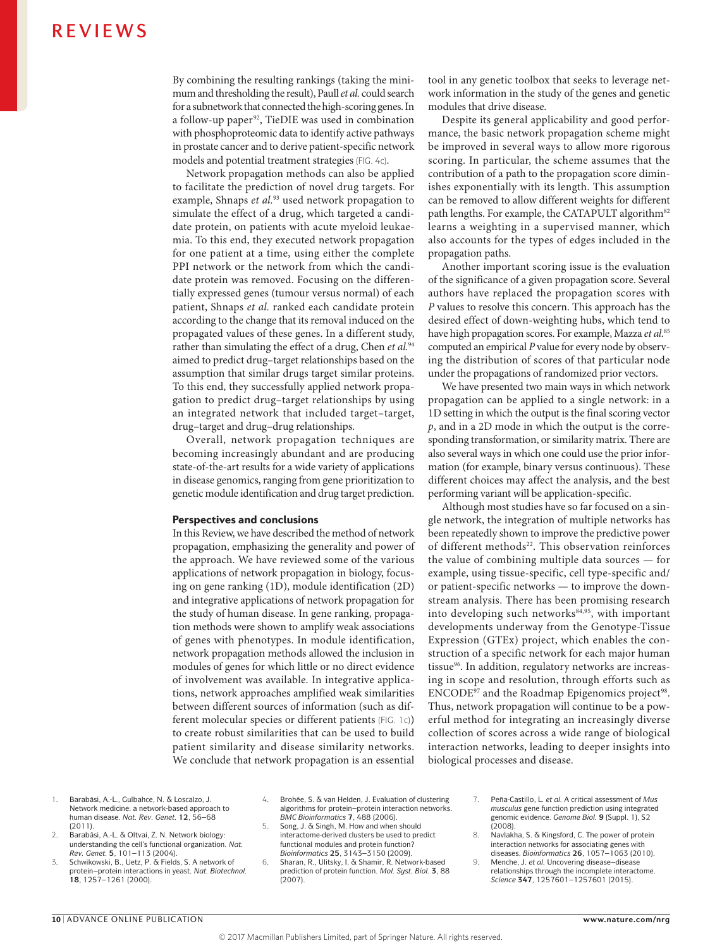By combining the resulting rankings (taking the minimum and thresholding the result), Paull *et al.* could search for a subnetwork that connected the high-scoring genes. In a follow-up paper<sup>92</sup>, TieDIE was used in combination with phosphoproteomic data to identify active pathways in prostate cancer and to derive patient-specific network models and potential treatment strategies (FIG. 4c).

Network propagation methods can also be applied to facilitate the prediction of novel drug targets. For example, Shnaps et al.<sup>93</sup> used network propagation to simulate the effect of a drug, which targeted a candidate protein, on patients with acute myeloid leukaemia. To this end, they executed network propagation for one patient at a time, using either the complete PPI network or the network from which the candidate protein was removed. Focusing on the differentially expressed genes (tumour versus normal) of each patient, Shnaps *et al.* ranked each candidate protein according to the change that its removal induced on the propagated values of these genes. In a different study, rather than simulating the effect of a drug, Chen *et al.*<sup>94</sup> aimed to predict drug–target relationships based on the assumption that similar drugs target similar proteins. To this end, they successfully applied network propagation to predict drug–target relationships by using an integrated network that included target–target, drug–target and drug–drug relationships.

Overall, network propagation techniques are becoming increasingly abundant and are producing state-of-the-art results for a wide variety of applications in disease genomics, ranging from gene prioritization to genetic module identification and drug target prediction.

# Perspectives and conclusions

In this Review, we have described the method of network propagation, emphasizing the generality and power of the approach. We have reviewed some of the various applications of network propagation in biology, focusing on gene ranking (1D), module identification (2D) and integrative applications of network propagation for the study of human disease. In gene ranking, propagation methods were shown to amplify weak associations of genes with phenotypes. In module identification, network propagation methods allowed the inclusion in modules of genes for which little or no direct evidence of involvement was available. In integrative applications, network approaches amplified weak similarities between different sources of information (such as different molecular species or different patients (FIG. 1c)) to create robust similarities that can be used to build patient similarity and disease similarity networks. We conclude that network propagation is an essential

tool in any genetic toolbox that seeks to leverage network information in the study of the genes and genetic modules that drive disease.

Despite its general applicability and good performance, the basic network propagation scheme might be improved in several ways to allow more rigorous scoring. In particular, the scheme assumes that the contribution of a path to the propagation score diminishes exponentially with its length. This assumption can be removed to allow different weights for different path lengths. For example, the CATAPULT algorithm<sup>82</sup> learns a weighting in a supervised manner, which also accounts for the types of edges included in the propagation paths.

Another important scoring issue is the evaluation of the significance of a given propagation score. Several authors have replaced the propagation scores with *P* values to resolve this concern. This approach has the desired effect of down-weighting hubs, which tend to have high propagation scores. For example, Mazza *et al.*<sup>85</sup> computed an empirical *P* value for every node by observing the distribution of scores of that particular node under the propagations of randomized prior vectors.

We have presented two main ways in which network propagation can be applied to a single network: in a 1D setting in which the output is the final scoring vector *p*, and in a 2D mode in which the output is the corresponding transformation, or similarity matrix. There are also several ways in which one could use the prior information (for example, binary versus continuous). These different choices may affect the analysis, and the best performing variant will be application-specific.

Although most studies have so far focused on a single network, the integration of multiple networks has been repeatedly shown to improve the predictive power of different methods<sup>22</sup>. This observation reinforces the value of combining multiple data sources — for example, using tissue-specific, cell type-specific and/ or patient-specific networks — to improve the downstream analysis. There has been promising research into developing such networks<sup>84,95</sup>, with important developments underway from the Genotype-Tissue Expression (GTEx) project, which enables the construction of a specific network for each major human tissue<sup>96</sup>. In addition, regulatory networks are increasing in scope and resolution, through efforts such as ENCODE<sup>97</sup> and the Roadmap Epigenomics project<sup>98</sup>. Thus, network propagation will continue to be a powerful method for integrating an increasingly diverse collection of scores across a wide range of biological interaction networks, leading to deeper insights into biological processes and disease.

- 1. Barabási, A.-L., Gulbahce, N. & Loscalzo, J. Network medicine: a network-based approach to human disease. *Nat. Rev. Genet.* **12**, 56–68 (2011).
- 2. Barabási, A.‑L. & Oltvai, Z. N. Network biology: understanding the cell's functional organization. *Nat. Rev. Genet.* **5**, 101–113 (2004).
- 3. Schwikowski, B., Uetz, P. & Fields, S. A network of protein–protein interactions in yeast. *Nat. Biotechnol.*  **18**, 1257–1261 (2000).
- 4. Brohée, S. & van Helden, J. Evaluation of clustering algorithms for protein–protein interaction networks. *BMC Bioinformatics* **7**, 488 (2006).
- 5. Song, J. & Singh, M. How and when should interactome-derived clusters be used to predict functional modules and protein function? *Bioinformatics* **25**, 3143–3150 (2009).
- 6. Sharan, R., Ulitsky, I. & Shamir, R. Network-based prediction of protein function. *Mol. Syst. Biol.* **3**, 88 (2007).
- 7. Peña-Castillo, L. *et al.* A critical assessment of *Mus musculus* gene function prediction using integrated genomic evidence. *Genome Biol.* **9** (Suppl. 1), S2 (2008).
- 8. Navlakha, S. & Kingsford, C. The power of protein interaction networks for associating genes with diseases. *Bioinformatics* **26**, 1057–1063 (2010).
- 9. Menche, J. *et al.* Uncovering disease–disease relationships through the incomplete interactome. *Science* **347**, 1257601–1257601 (2015).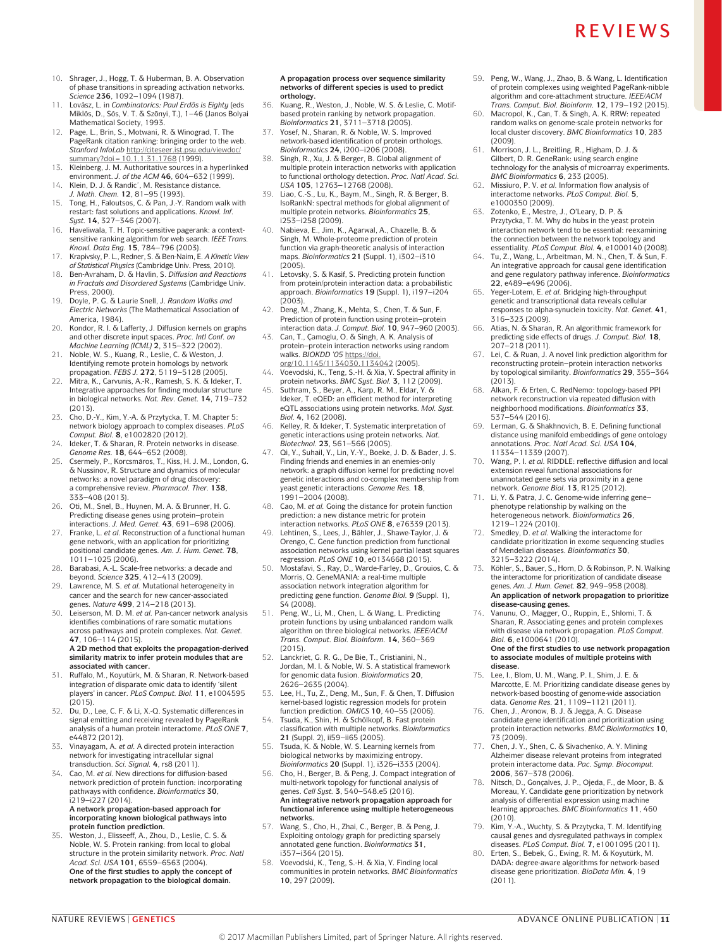- 10. Shrager, J., Hogg, T. & Huberman, B. A. Observation of phase transitions in spreading activation networks. *Science* **236**, 1092–1094 (1987).
- 11. Lovász, L. in *Combinatorics: Paul Erdõs is Eighty* (eds Miklós, D., Sós, V. T. & Szõnyi, T.), 1–46 (Janos Bolyai Mathematical Society, 1993.
- 12. Page, L., Brin, S., Motwani, R. & Winograd, T. The PageRank citation ranking: bringing order to the web. *Stanford InfoLab* [http://citeseer.ist.psu.edu/viewdoc/](http://citeseer.ist.psu.edu/viewdoc/summary?doi=10.1.1.31.1768) [summary?doi=10.1.1.31.1768](http://citeseer.ist.psu.edu/viewdoc/summary?doi=10.1.1.31.1768) (1999).
- 13. Kleinberg, J. M. Authoritative sources in a hyperlinked environment. *J. of the ACM* **46**, 604–632 (1999).
- 14. Klein, D. J. & Randic´, M. Resistance distance. *J. Math. Chem.* **12**, 81–95 (1993).
- 15. Tong, H., Faloutsos, C. & Pan, J.‑Y. Random walk with restart: fast solutions and applications. *Knowl. Inf. Syst.* **14**, 327–346 (2007).
- 16. Haveliwala, T. H. Topic-sensitive pagerank: a contextsensitive ranking algorithm for web search. *IEEE Trans. Knowl. Data Eng.* **15**, 784–796 (2003).
- 17. Krapivsky, P. L., Redner, S. & Ben-Naim, E. *A Kinetic View of Statistical Physics* (Cambridge Univ. Press, 2010).
- 18. Ben-Avraham, D. & Havlin, S. *Diffusion and Reactions in Fractals and Disordered Systems* (Cambridge Univ. Press, 2000).
- 19. Doyle, P. G. & Laurie Snell, J. *Random Walks and Electric Networks* (The Mathematical Association of America, 1984).
- 20. Kondor, R. I. & Lafferty, J. Diffusion kernels on graphs and other discrete input spaces. *Proc. Intl Conf. on Machine Learning (ICML)* **2**, 315–322 (2002).
- 21. Noble, W. S., Kuang, R., Leslie, C. & Weston, J. Identifying remote protein homologs by network propagation. *FEBS J.* **272**, 5119–5128 (2005).
- 22. Mitra, K., Carvunis, A.‑R., Ramesh, S. K. & Ideker, T. Integrative approaches for finding modular structure in biological networks. *Nat. Rev. Genet.* **14**, 719–732 (2013).
- 23. Cho, D.‑Y., Kim, Y.‑A. & Przytycka, T. M. Chapter 5: network biology approach to complex diseases. *PLoS Comput. Biol.* **8**, e1002820 (2012).
- 24. Ideker, T. & Sharan, R. Protein networks in disease. *Genome Res.* **18**, 644–652 (2008).
- 25. Csermely, P., Korcsmáros, T., Kiss, H. J. M., London, G. & Nussinov, R. Structure and dynamics of molecular networks: a novel paradigm of drug discovery: a comprehensive review. *Pharmacol. Ther.* **138**, 333–408 (2013).
- 26. Oti, M., Snel, B., Huynen, M. A. & Brunner, H. G. Predicting disease genes using protein–protein interactions. *J. Med. Genet.* **43**, 691–698 (2006).
- 27. Franke, L. *et al.* Reconstruction of a functional human gene network, with an application for prioritizing positional candidate genes. *Am. J. Hum. Genet.* **78**, 1011–1025 (2006).
- 28. Barabasi, A.-L. Scale-free networks: a decade and beyond. *Science* **325**, 412–413 (2009).
- 29. Lawrence, M. S. *et al.* Mutational heterogeneity in cancer and the search for new cancer-associated genes. *Nature* **499**, 214–218 (2013).
- Leiserson, M. D. M. *et al.* Pan-cancer network analysis identifies combinations of rare somatic mutations across pathways and protein complexes. *Nat. Genet.*  **47**, 106–114 (2015). **A 2D method that exploits the propagation-derived**

**similarity matrix to infer protein modules that are associated with cancer.**

- 31. Ruffalo, M., Koyutürk, M. & Sharan, R. Network-based integration of disparate omic data to identify 'silent players' in cancer. *PLoS Comput. Biol.* **11**, e1004595 (2015).
- 32. Du, D., Lee, C. F. & Li, X.‑Q. Systematic differences in signal emitting and receiving revealed by PageRank analysis of a human protein interactome. *PLoS ONE* **7**, e44872 (2012).
- 33. Vinayagam, A. *et al.* A directed protein interaction network for investigating intracellular signal transduction. *Sci. Signal.* **4**, rs8 (2011).
- 34. Cao, M. *et al.* New directions for diffusion-based network prediction of protein function: incorporating pathways with confidence. *Bioinformatics* **30**, i219–i227 (2014). **A network propagation-based approach for incorporating known biological pathways into protein function prediction.**
- 35. Weston, J., Elisseeff, A., Zhou, D., Leslie, C. S. & Noble, W. S. Protein ranking: from local to global structure in the protein similarity network. *Proc. Natl Acad. Sci. USA* **101**, 6559–6563 (2004). **One of the first studies to apply the concept of network propagation to the biological domain.**

**A propagation process over sequence similarity networks of different species is used to predict orthology.**

- 36. Kuang, R., Weston, J., Noble, W. S. & Leslie, C. Motifbased protein ranking by network propagation. *Bioinformatics* **21**, 3711–3718 (2005).
- Yosef, N., Sharan, R. & Noble, W. S. Improved network-based identification of protein orthologs. *Bioinformatics* **24**, i200–i206 (2008).
- 38. Singh, R., Xu, J. & Berger, B. Global alignment of multiple protein interaction networks with application to functional orthology detection. *Proc. Natl Acad. Sci. USA* **105**, 12763–12768 (2008).
- Liao, C.-S., Lu, K., Baym, M., Singh, R. & Berger, B. IsoRankN: spectral methods for global alignment of multiple protein networks. *Bioinformatics* **25**, i253–i258 (2009).
- 40. Nabieva, E., Jim, K., Agarwal, A., Chazelle, B. & Singh, M. Whole-proteome prediction of protein function via graph-theoretic analysis of interaction maps. *Bioinformatics* **21** (Suppl. 1), i302–i310 (2005).
- 41. Letovsky, S. & Kasif, S. Predicting protein function from protein/protein interaction data: a probabilistic approach. *Bioinformatics* **19** (Suppl. 1), i197–i204 (2003).
- 42. Deng, M., Zhang, K., Mehta, S., Chen, T. & Sun, F. Prediction of protein function using protein–protein interaction data. *J. Comput. Biol.* **10**, 947–960 (2003).
- 43. Can, T., Çamoglu, O. & Singh, A. K. Analysis of protein–protein interaction networks using random walks. *BIOKDD '05* [https://doi.](https://doi.org/10.1145/1134030.1134042) [org/10.1145/1134030.1134042](https://doi.org/10.1145/1134030.1134042) (2005)
- Voevodski, K., Teng, S.-H. & Xia, Y. Spectral affinity in protein networks. *BMC Syst. Biol.* **3**, 112 (2009).
- 45. Suthram, S., Beyer, A., Karp, R. M., Eldar, Y. & Ideker, T. eQED: an efficient method for interpreting eQTL associations using protein networks. *Mol. Syst. Biol.* **4**, 162 (2008).
- 46. Kelley, R. & Ideker, T. Systematic interpretation of genetic interactions using protein networks. *Nat.*
- *Biotechnol.* **23**, 561–566 (2005). 47. Qi, Y., Suhail, Y., Lin, Y.‑Y., Boeke, J. D. & Bader, J. S. Finding friends and enemies in an enemies-only network: a graph diffusion kernel for predicting novel genetic interactions and co‑complex membership from yeast genetic interactions. *Genome Res.* **18**, 1991–2004 (2008).
- 48. Cao, M. *et al.* Going the distance for protein function prediction: a new distance metric for protein interaction networks. *PLoS ONE* **8**, e76339 (2013).
- 49. Lehtinen, S., Lees, J., Bähler, J., Shawe-Taylor, J. & Orengo, C. Gene function prediction from functional association networks using kernel partial least squares regression. *PLoS ONE* **10**, e0134668 (2015).
- Mostafavi, S., Ray, D., Warde-Farley, D., Grouios, C. & Morris, Q. GeneMANIA: a real-time multiple association network integration algorithm for predicting gene function. *Genome Biol.* **9** (Suppl. 1), S4 (2008).
- 51. Peng, W., Li, M., Chen, L. & Wang, L. Predicting protein functions by using unbalanced random walk algorithm on three biological networks. *IEEE/ACM Trans. Comput. Biol. Bioinform.* **14**, 360–369  $(2015)$
- 52. Lanckriet, G. R. G., De Bie, T., Cristianini, N., Jordan, M. I. & Noble, W. S. A statistical framework for genomic data fusion. *Bioinformatics* **20**,
- 2626–2635 (2004). 53. Lee, H., Tu, Z., Deng, M., Sun, F. & Chen, T. Diffusion kernel-based logistic regression models for protein function prediction. *OMICS* **10**, 40–55 (2006).
- Tsuda, K., Shin, H. & Schölkopf, B. Fast protein classification with multiple networks. *Bioinformatics* **21** (Suppl. 2), ii59–ii65 (2005).
- 55. Tsuda, K. & Noble, W. S. Learning kernels from biological networks by maximizing entropy. *Bioinformatics* **20** (Suppl. 1), i326–i333 (2004).
- 56. Cho, H., Berger, B. & Peng, J. Compact integration of multi-network topology for functional analysis of genes. *Cell Syst.* **3**, 540–548.e5 (2016). **An integrative network propagation approach for functional inference using multiple heterogeneous networks.**
- 57. Wang, S., Cho, H., Zhai, C., Berger, B. & Peng, J. Exploiting ontology graph for predicting sparsely annotated gene function. *Bioinformatics* **31**, i357–i364 (2015).
- Voevodski, K., Teng, S.-H. & Xia, Y. Finding local communities in protein networks. *BMC Bioinformatics*  **10**, 297 (2009).
- 59. Peng, W., Wang, J., Zhao, B. & Wang, L. Identification of protein complexes using weighted PageRank-nibble algorithm and core-attachment structure. *IEEE/ACM Trans. Comput. Biol. Bioinform.* **12**, 179–192 (2015).
- 60. Macropol, K., Can, T. & Singh, A. K. RRW: repeated random walks on genome-scale protein networks for local cluster discovery. *BMC Bioinformatics* **10**, 283 (2009).
- 61. Morrison, J. L., Breitling, R., Higham, D. J. & Gilbert, D. R. GeneRank: using search engine technology for the analysis of microarray experiments. *BMC Bioinformatics* **6**, 233 (2005).
- 62. Missiuro, P. V. *et al.* Information flow analysis of interactome networks. *PLoS Comput. Biol.* **5**, e1000350 (2009).
- 63. Zotenko, E., Mestre, J., O'Leary, D. P. & Przytycka, T. M. Why do hubs in the yeast protein interaction network tend to be essential: reexamining the connection between the network topology and
- essentiality. *PLoS Comput. Biol.* **4**, e1000140 (2008). 64. Tu, Z., Wang, L., Arbeitman, M. N., Chen, T. & Sun, F. An integrative approach for causal gene identification and gene regulatory pathway inference. *Bioinformatics*  **22**, e489–e496 (2006).
- 65. Yeger-Lotem, E. *et al.* Bridging high-throughput genetic and transcriptional data reveals cellular responses to alpha-synuclein toxicity. *Nat. Genet.* **41**, 316–323 (2009).
- 66. Atias, N. & Sharan, R. An algorithmic framework for predicting side effects of drugs. *J. Comput. Biol.* **18**, 207–218 (2011).
- 67. Lei, C. & Ruan, J. A novel link prediction algorithm for reconstructing protein–protein interaction networks by topological similarity. *Bioinformatics* **29**, 355–364 (2013).
- 68. Alkan, F. & Erten, C. RedNemo: topology-based PPI network reconstruction via repeated diffusion with neighborhood modifications. *Bioinformatics* **33**, 537–544 (2016).
- Lerman, G. & Shakhnovich, B. E. Defining functional distance using manifold embeddings of gene ontology annotations. *Proc. Natl Acad. Sci. USA* **104**, 11334–11339 (2007).
- 70. Wang, P. I. *et al.* RIDDLE: reflective diffusion and local extension reveal functional associations for unannotated gene sets via proximity in a gene network. *Genome Biol.* **13**, R125 (2012).
- 71. Li, Y. & Patra, J. C. Genome-wide inferring gene– phenotype relationship by walking on the heterogeneous network. *Bioinformatics* **26**, 1219–1224 (2010).
- 72. Smedley, D. *et al.* Walking the interactome for candidate prioritization in exome sequencing studies of Mendelian diseases. *Bioinformatics* **30**, 3215–3222 (2014).
- Köhler, S., Bauer, S., Horn, D. & Robinson, P. N. Walking the interactome for prioritization of candidate disease genes. *Am. J. Hum. Genet.* **82**, 949–958 (2008). **An application of network propagation to prioritize disease-causing genes.**
- Vanunu, O., Magger, O., Ruppin, E., Shlomi, T. & Sharan, R. Associating genes and protein complexes with disease via network propagation. *PLoS Comput. Biol.* **6**, e1000641 (2010). **One of the first studies to use network propagation** 
	- **to associate modules of multiple proteins with disease.** Lee, I., Blom, U. M., Wang, P. I., Shim, J. E. &
- Marcotte, E. M. Prioritizing candidate disease genes by network-based boosting of genome-wide association data. *Genome Res.* **21**, 1109–1121 (2011).
- 76. Chen, J., Aronow, B. J. & Jegga, A. G. Disease candidate gene identification and prioritization using protein interaction networks. *BMC Bioinformatics* **10**, 73 (2009).
- 77. Chen, J. Y., Shen, C. & Sivachenko, A. Y. Mining Alzheimer disease relevant proteins from integrated protein interactome data. *Pac. Symp. Biocomput.*  **2006**, 367–378 (2006).
- 78. Nitsch, D., Gonçalves, J. P., Ojeda, F., de Moor, B. & Moreau, Y. Candidate gene prioritization by network analysis of differential expression using machine learning approaches. *BMC Bioinformatics* **11**, 460 (2010).
- Kim, Y.-A., Wuchty, S. & Przytycka, T. M. Identifying causal genes and dysregulated pathways in complex diseases. *PLoS Comput. Biol.* **7**, e1001095 (2011).
- 80. Erten, S., Bebek, G., Ewing, R. M. & Koyutürk, M. DADA: degree-aware algorithms for network-based disease gene prioritization. *BioData Min.* **4**, 19 (2011).